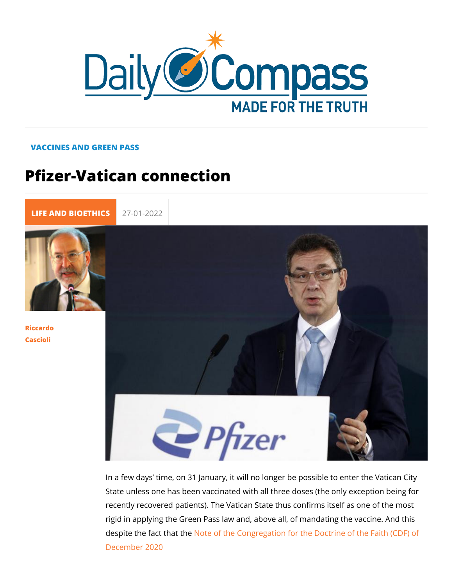## VACCINES AND GREEN PASS

## Pfizer-Vatican connection

[LIFE AND BIOE](https://newdailycompass.com/en/life-and-bioethics) 27-01-2022

[Riccar](/en/riccardo-cascioli)do [Casci](/en/riccardo-cascioli)oli

> In a few days time, on 31 January, it will no longer be possib State unless one has been vaccinated with all three doses (the recently recovered patients). The Vatican State thus confirms rigid in applying the Green Pass law and, above all, of mandat despite the fact Nbad bhethe Congregation for the Doctrine of the [December](https://www.vatican.va/roman_curia/congregations/cfaith/documents/rc_con_cfaith_doc_20201221_nota-vaccini-anticovid_en.html) 2020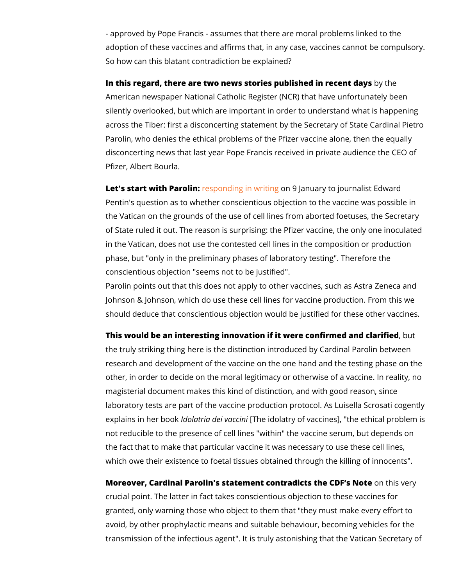- approved by Pope Francis - assumes that thlein texadreto mtohreal pro adoption of these vaccines and affirms that, in any case, vacc So how can this blatant contradiction be explained?

In this regard, there are two news stories publish bed three recent American newspaper National Catholic Register (NCR) that have silently overlooked, but which are important in order to unders across the Tiber: first a disconcerting statement by the Secret Parolin, who denies the ethical problems of the Pfizer vaccine disconcerting news that last year Pope Francis received in pri Pfizer, Albert Bourla.

Let's start with Paesbionding in wonit9ndanuary to journalist Edw Pentin's question as to whether conscientious objection to the the Vatican on the grounds of the use of cell lines from aborte of State ruled it out. The reason is surprising: the Pfizer vacc in the Vatican, does not use the contested cell lines in the co phase, but "only in the preliminary phases of laboratory testin conscientious objection "seems not to be justified". Parolin points out that this does not apply to other vaccines, and Johnson & Johnson, which do use these cell lines for vaccine

should deduce that conscientious objection would be justified

This would be an interesting innovation if it were confibrunted ar the truly striking thing here is the distinction introduced by Ca research and development of the vaccine on the one hand and other, in order to decide on the moral legitimacy or otherwise magisterial document makes this kind of distinction, and with laboratory tests are part of the vaccine production protocol. A explains in helmolbeactkia dei Mahcecindiolatry of vaccines], "the ethi not reducible to the presence of cell lines "within" the vaccine the fact that to make that particular vaccine it was necessary which owe their existence to foetal tissues obtained through the

Moreover, Cardinal Parolin's statement contradicos the SCVDeFiys crucial point. The latter in fact takes conscientious objection granted, only warning those who object to them that "they mus avoid, by other prophylactic means and suitable behaviour, be transmission of the infectious agent". It is truly astonishing th